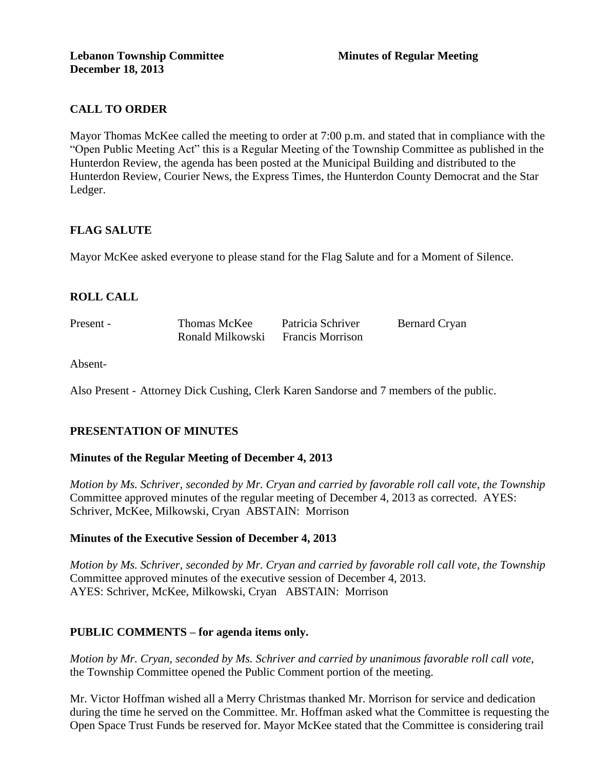# **CALL TO ORDER**

Mayor Thomas McKee called the meeting to order at 7:00 p.m. and stated that in compliance with the "Open Public Meeting Act" this is a Regular Meeting of the Township Committee as published in the Hunterdon Review, the agenda has been posted at the Municipal Building and distributed to the Hunterdon Review, Courier News, the Express Times, the Hunterdon County Democrat and the Star Ledger.

# **FLAG SALUTE**

Mayor McKee asked everyone to please stand for the Flag Salute and for a Moment of Silence.

# **ROLL CALL**

Present - Thomas McKee Patricia Schriver Bernard Cryan Ronald Milkowski Francis Morrison

Absent-

Also Present - Attorney Dick Cushing, Clerk Karen Sandorse and 7 members of the public.

# **PRESENTATION OF MINUTES**

## **Minutes of the Regular Meeting of December 4, 2013**

*Motion by Ms. Schriver, seconded by Mr. Cryan and carried by favorable roll call vote, the Township* Committee approved minutes of the regular meeting of December 4, 2013 as corrected. AYES: Schriver, McKee, Milkowski, Cryan ABSTAIN: Morrison

## **Minutes of the Executive Session of December 4, 2013**

*Motion by Ms. Schriver, seconded by Mr. Cryan and carried by favorable roll call vote, the Township* Committee approved minutes of the executive session of December 4, 2013. AYES: Schriver, McKee, Milkowski, Cryan ABSTAIN: Morrison

## **PUBLIC COMMENTS – for agenda items only.**

*Motion by Mr. Cryan, seconded by Ms. Schriver and carried by unanimous favorable roll call vote,* the Township Committee opened the Public Comment portion of the meeting.

Mr. Victor Hoffman wished all a Merry Christmas thanked Mr. Morrison for service and dedication during the time he served on the Committee. Mr. Hoffman asked what the Committee is requesting the Open Space Trust Funds be reserved for. Mayor McKee stated that the Committee is considering trail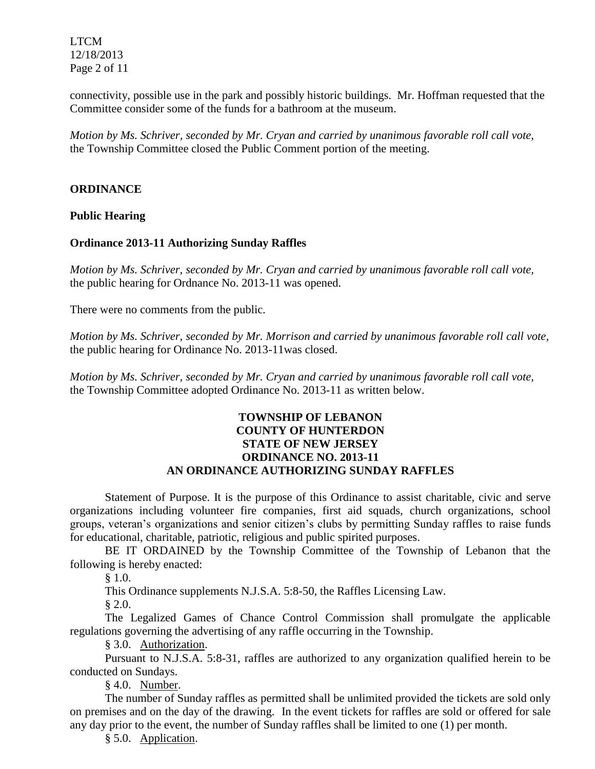LTCM 12/18/2013 Page 2 of 11

connectivity, possible use in the park and possibly historic buildings. Mr. Hoffman requested that the Committee consider some of the funds for a bathroom at the museum.

*Motion by Ms. Schriver, seconded by Mr. Cryan and carried by unanimous favorable roll call vote,* the Township Committee closed the Public Comment portion of the meeting.

## **ORDINANCE**

**Public Hearing**

## **Ordinance 2013-11 Authorizing Sunday Raffles**

*Motion by Ms. Schriver, seconded by Mr. Cryan and carried by unanimous favorable roll call vote,* the public hearing for Ordnance No. 2013-11 was opened.

There were no comments from the public*.*

*Motion by Ms. Schriver, seconded by Mr. Morrison and carried by unanimous favorable roll call vote,* the public hearing for Ordinance No. 2013-11was closed.

*Motion by Ms. Schriver, seconded by Mr. Cryan and carried by unanimous favorable roll call vote,* the Township Committee adopted Ordinance No. 2013-11 as written below.

# **TOWNSHIP OF LEBANON COUNTY OF HUNTERDON STATE OF NEW JERSEY ORDINANCE NO. 2013-11 AN ORDINANCE AUTHORIZING SUNDAY RAFFLES**

Statement of Purpose. It is the purpose of this Ordinance to assist charitable, civic and serve organizations including volunteer fire companies, first aid squads, church organizations, school groups, veteran's organizations and senior citizen's clubs by permitting Sunday raffles to raise funds for educational, charitable, patriotic, religious and public spirited purposes.

BE IT ORDAINED by the Township Committee of the Township of Lebanon that the following is hereby enacted:

§ 1.0.

This Ordinance supplements N.J.S.A. 5:8-50, the Raffles Licensing Law.

§ 2.0.

The Legalized Games of Chance Control Commission shall promulgate the applicable regulations governing the advertising of any raffle occurring in the Township.

§ 3.0. Authorization.

Pursuant to N.J.S.A. 5:8-31, raffles are authorized to any organization qualified herein to be conducted on Sundays.

§ 4.0. Number.

The number of Sunday raffles as permitted shall be unlimited provided the tickets are sold only on premises and on the day of the drawing. In the event tickets for raffles are sold or offered for sale any day prior to the event, the number of Sunday raffles shall be limited to one (1) per month.

§ 5.0. Application.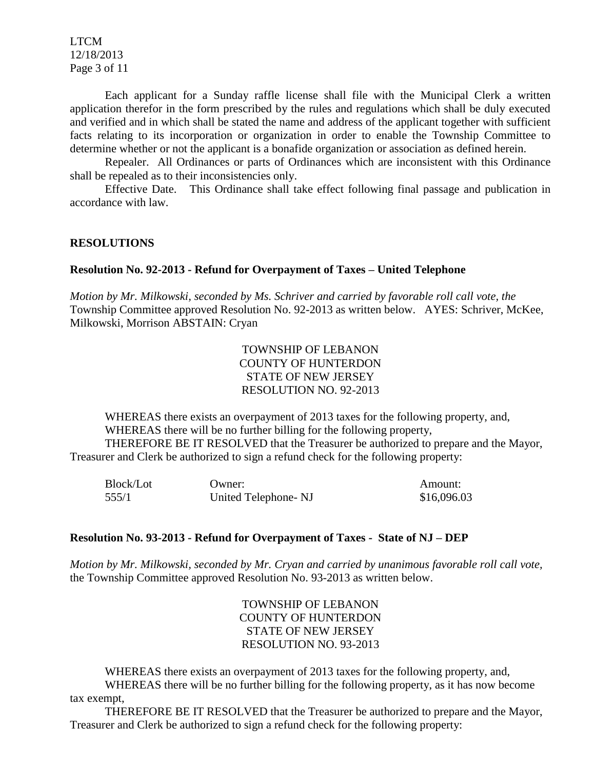LTCM 12/18/2013 Page 3 of 11

Each applicant for a Sunday raffle license shall file with the Municipal Clerk a written application therefor in the form prescribed by the rules and regulations which shall be duly executed and verified and in which shall be stated the name and address of the applicant together with sufficient facts relating to its incorporation or organization in order to enable the Township Committee to determine whether or not the applicant is a bonafide organization or association as defined herein.

Repealer. All Ordinances or parts of Ordinances which are inconsistent with this Ordinance shall be repealed as to their inconsistencies only.

Effective Date. This Ordinance shall take effect following final passage and publication in accordance with law.

#### **RESOLUTIONS**

#### **Resolution No. 92-2013 - Refund for Overpayment of Taxes – United Telephone**

*Motion by Mr. Milkowski, seconded by Ms. Schriver and carried by favorable roll call vote, the* Township Committee approved Resolution No. 92-2013 as written below. AYES: Schriver, McKee, Milkowski, Morrison ABSTAIN: Cryan

> TOWNSHIP OF LEBANON COUNTY OF HUNTERDON STATE OF NEW JERSEY RESOLUTION NO. 92-2013

WHEREAS there exists an overpayment of 2013 taxes for the following property, and, WHEREAS there will be no further billing for the following property, THEREFORE BE IT RESOLVED that the Treasurer be authorized to prepare and the Mayor, Treasurer and Clerk be authorized to sign a refund check for the following property:

| <b>Block/Lot</b> | Owner:              | Amount:     |
|------------------|---------------------|-------------|
| 555/1            | United Telephone-NJ | \$16,096.03 |

#### **Resolution No. 93-2013 - Refund for Overpayment of Taxes - State of NJ – DEP**

*Motion by Mr. Milkowski, seconded by Mr. Cryan and carried by unanimous favorable roll call vote,* the Township Committee approved Resolution No. 93-2013 as written below.

> TOWNSHIP OF LEBANON COUNTY OF HUNTERDON STATE OF NEW JERSEY RESOLUTION NO. 93-2013

WHEREAS there exists an overpayment of 2013 taxes for the following property, and, WHEREAS there will be no further billing for the following property, as it has now become tax exempt,

THEREFORE BE IT RESOLVED that the Treasurer be authorized to prepare and the Mayor, Treasurer and Clerk be authorized to sign a refund check for the following property: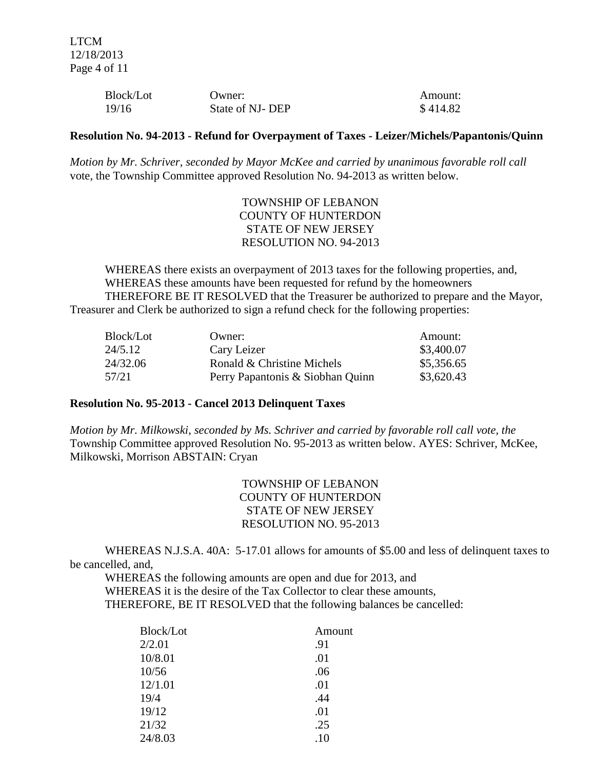| Block/Lot | Owner:          | Amount:  |
|-----------|-----------------|----------|
| 19/16     | State of NJ-DEP | \$414.82 |

#### **Resolution No. 94-2013 - Refund for Overpayment of Taxes - Leizer/Michels/Papantonis/Quinn**

*Motion by Mr. Schriver, seconded by Mayor McKee and carried by unanimous favorable roll call* vote, the Township Committee approved Resolution No. 94-2013 as written below.

> TOWNSHIP OF LEBANON COUNTY OF HUNTERDON STATE OF NEW JERSEY RESOLUTION NO. 94-2013

WHEREAS there exists an overpayment of 2013 taxes for the following properties, and, WHEREAS these amounts have been requested for refund by the homeowners THEREFORE BE IT RESOLVED that the Treasurer be authorized to prepare and the Mayor, Treasurer and Clerk be authorized to sign a refund check for the following properties:

| Block/Lot | Owner:                           | Amount:    |
|-----------|----------------------------------|------------|
| 24/5.12   | Cary Leizer                      | \$3,400.07 |
| 24/32.06  | Ronald & Christine Michels       | \$5,356.65 |
| 57/21     | Perry Papantonis & Siobhan Quinn | \$3,620.43 |

#### **Resolution No. 95-2013 - Cancel 2013 Delinquent Taxes**

*Motion by Mr. Milkowski, seconded by Ms. Schriver and carried by favorable roll call vote, the* Township Committee approved Resolution No. 95-2013 as written below. AYES: Schriver, McKee, Milkowski, Morrison ABSTAIN: Cryan

> TOWNSHIP OF LEBANON COUNTY OF HUNTERDON STATE OF NEW JERSEY RESOLUTION NO. 95-2013

WHEREAS N.J.S.A. 40A: 5-17.01 allows for amounts of \$5.00 and less of delinquent taxes to be cancelled, and,

WHEREAS the following amounts are open and due for 2013, and WHEREAS it is the desire of the Tax Collector to clear these amounts, THEREFORE, BE IT RESOLVED that the following balances be cancelled:

| Block/Lot | Amount  |
|-----------|---------|
| 2/2.01    | .91     |
| 10/8.01   | .01     |
| 10/56     | .06     |
| 12/1.01   | .01     |
| 19/4      | .44     |
| 19/12     | .01     |
| 21/32     | .25     |
| 24/8.03   | $.10\,$ |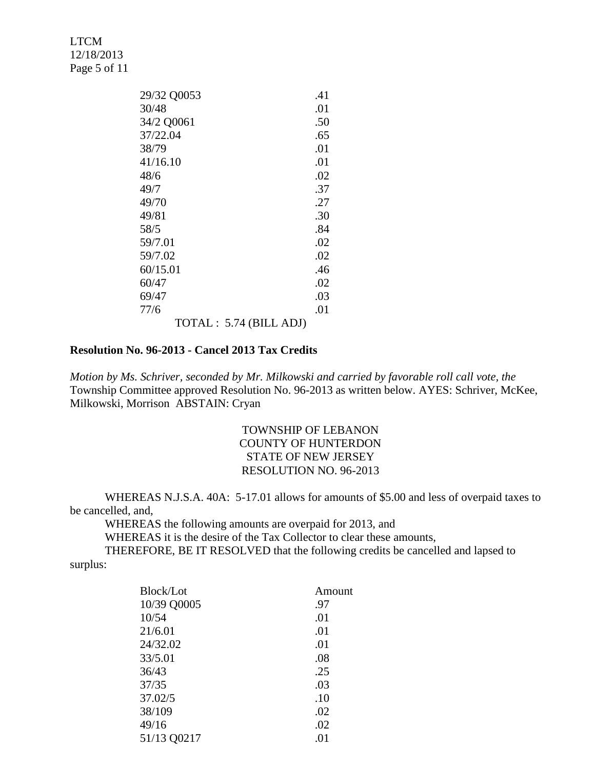LTCM 12/18/2013 Page 5 of 11

| 29/32 Q0053            | .41 |
|------------------------|-----|
| 30/48                  | .01 |
| 34/2 Q0061             | .50 |
| 37/22.04               | .65 |
| 38/79                  | .01 |
| 41/16.10               | .01 |
| 48/6                   | .02 |
| 49/7                   | .37 |
| 49/70                  | .27 |
| 49/81                  | .30 |
| 58/5                   | .84 |
| 59/7.01                | .02 |
| 59/7.02                | .02 |
| 60/15.01               | .46 |
| 60/47                  | .02 |
| 69/47                  | .03 |
| 77/6                   | .01 |
| TOTAL: 5.74 (BILL ADJ) |     |

#### **Resolution No. 96-2013 - Cancel 2013 Tax Credits**

*Motion by Ms. Schriver, seconded by Mr. Milkowski and carried by favorable roll call vote, the* Township Committee approved Resolution No. 96-2013 as written below. AYES: Schriver, McKee, Milkowski, Morrison ABSTAIN: Cryan

# TOWNSHIP OF LEBANON COUNTY OF HUNTERDON STATE OF NEW JERSEY RESOLUTION NO. 96-2013

WHEREAS N.J.S.A. 40A: 5-17.01 allows for amounts of \$5.00 and less of overpaid taxes to be cancelled, and,

WHEREAS the following amounts are overpaid for 2013, and

WHEREAS it is the desire of the Tax Collector to clear these amounts,

THEREFORE, BE IT RESOLVED that the following credits be cancelled and lapsed to surplus:

| <b>Block/Lot</b> | Amount |
|------------------|--------|
| 10/39 Q0005      | .97    |
| 10/54            | .01    |
| 21/6.01          | .01    |
| 24/32.02         | .01    |
| 33/5.01          | .08    |
| 36/43            | .25    |
| 37/35            | .03    |
| 37.02/5          | .10    |
| 38/109           | .02    |
| 49/16            | .02    |
| 51/13 Q0217      | .01    |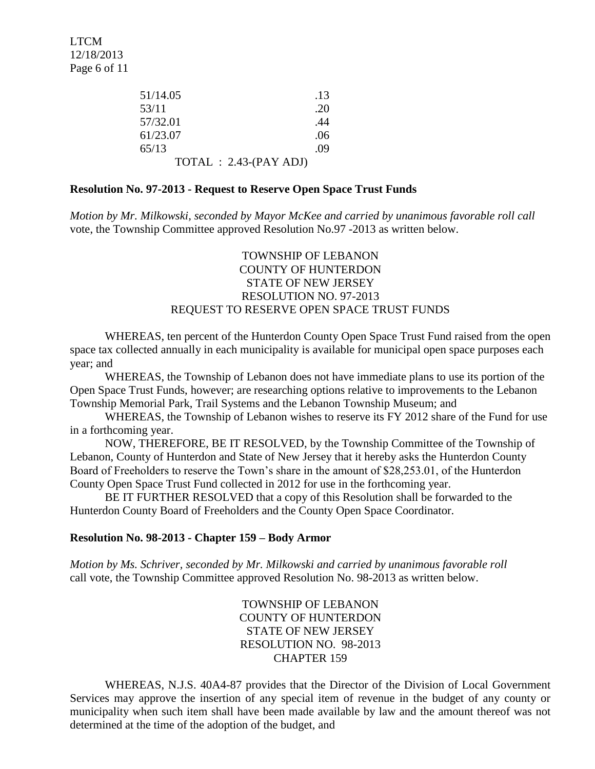| 51/14.05                 | .13 |
|--------------------------|-----|
| 53/11                    | .20 |
| 57/32.01                 | .44 |
| 61/23.07                 | .06 |
| 65/13                    | .09 |
| $TOTAL : 2.43-(PAY ADJ)$ |     |

### **Resolution No. 97-2013 - Request to Reserve Open Space Trust Funds**

*Motion by Mr. Milkowski, seconded by Mayor McKee and carried by unanimous favorable roll call* vote, the Township Committee approved Resolution No.97 -2013 as written below.

## TOWNSHIP OF LEBANON COUNTY OF HUNTERDON STATE OF NEW JERSEY RESOLUTION NO. 97-2013 REQUEST TO RESERVE OPEN SPACE TRUST FUNDS

WHEREAS, ten percent of the Hunterdon County Open Space Trust Fund raised from the open space tax collected annually in each municipality is available for municipal open space purposes each year; and

WHEREAS, the Township of Lebanon does not have immediate plans to use its portion of the Open Space Trust Funds, however; are researching options relative to improvements to the Lebanon Township Memorial Park, Trail Systems and the Lebanon Township Museum; and

WHEREAS, the Township of Lebanon wishes to reserve its FY 2012 share of the Fund for use in a forthcoming year.

NOW, THEREFORE, BE IT RESOLVED, by the Township Committee of the Township of Lebanon, County of Hunterdon and State of New Jersey that it hereby asks the Hunterdon County Board of Freeholders to reserve the Town's share in the amount of \$28,253.01, of the Hunterdon County Open Space Trust Fund collected in 2012 for use in the forthcoming year.

BE IT FURTHER RESOLVED that a copy of this Resolution shall be forwarded to the Hunterdon County Board of Freeholders and the County Open Space Coordinator.

#### **Resolution No. 98-2013 - Chapter 159 – Body Armor**

*Motion by Ms. Schriver, seconded by Mr. Milkowski and carried by unanimous favorable roll*  call vote, the Township Committee approved Resolution No. 98-2013 as written below.

> TOWNSHIP OF LEBANON COUNTY OF HUNTERDON STATE OF NEW JERSEY RESOLUTION NO. 98-2013 CHAPTER 159

WHEREAS, N.J.S. 40A4-87 provides that the Director of the Division of Local Government Services may approve the insertion of any special item of revenue in the budget of any county or municipality when such item shall have been made available by law and the amount thereof was not determined at the time of the adoption of the budget, and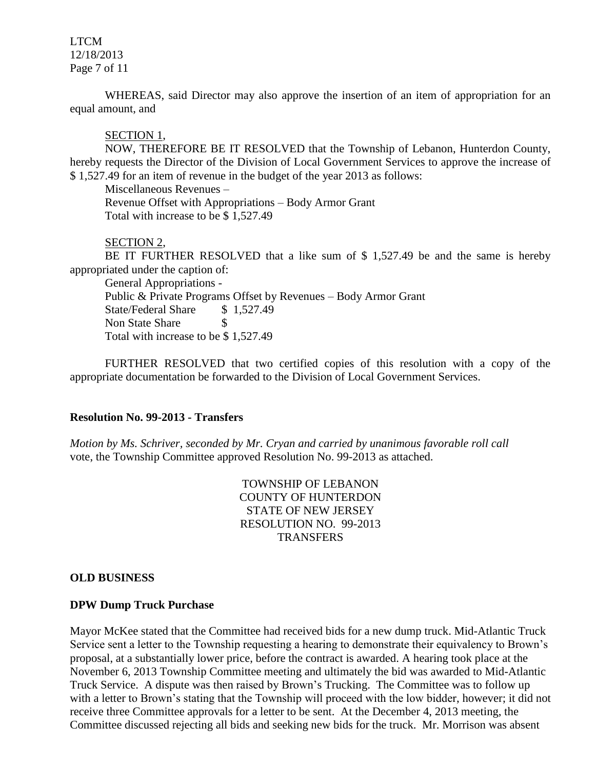LTCM 12/18/2013 Page 7 of 11

WHEREAS, said Director may also approve the insertion of an item of appropriation for an equal amount, and

#### SECTION 1,

NOW, THEREFORE BE IT RESOLVED that the Township of Lebanon, Hunterdon County, hereby requests the Director of the Division of Local Government Services to approve the increase of \$ 1,527.49 for an item of revenue in the budget of the year 2013 as follows:

Miscellaneous Revenues –

Revenue Offset with Appropriations – Body Armor Grant Total with increase to be \$ 1,527.49

## SECTION 2,

BE IT FURTHER RESOLVED that a like sum of \$ 1,527.49 be and the same is hereby appropriated under the caption of:

General Appropriations - Public & Private Programs Offset by Revenues – Body Armor Grant State/Federal Share \$ 1,527.49 Non State Share \$ Total with increase to be \$ 1,527.49

FURTHER RESOLVED that two certified copies of this resolution with a copy of the appropriate documentation be forwarded to the Division of Local Government Services.

### **Resolution No. 99-2013 - Transfers**

*Motion by Ms. Schriver, seconded by Mr. Cryan and carried by unanimous favorable roll call* vote, the Township Committee approved Resolution No. 99-2013 as attached.

> TOWNSHIP OF LEBANON COUNTY OF HUNTERDON STATE OF NEW JERSEY RESOLUTION NO. 99-2013 **TRANSFERS**

#### **OLD BUSINESS**

#### **DPW Dump Truck Purchase**

Mayor McKee stated that the Committee had received bids for a new dump truck. Mid-Atlantic Truck Service sent a letter to the Township requesting a hearing to demonstrate their equivalency to Brown's proposal, at a substantially lower price, before the contract is awarded. A hearing took place at the November 6, 2013 Township Committee meeting and ultimately the bid was awarded to Mid-Atlantic Truck Service. A dispute was then raised by Brown's Trucking. The Committee was to follow up with a letter to Brown's stating that the Township will proceed with the low bidder, however; it did not receive three Committee approvals for a letter to be sent. At the December 4, 2013 meeting, the Committee discussed rejecting all bids and seeking new bids for the truck. Mr. Morrison was absent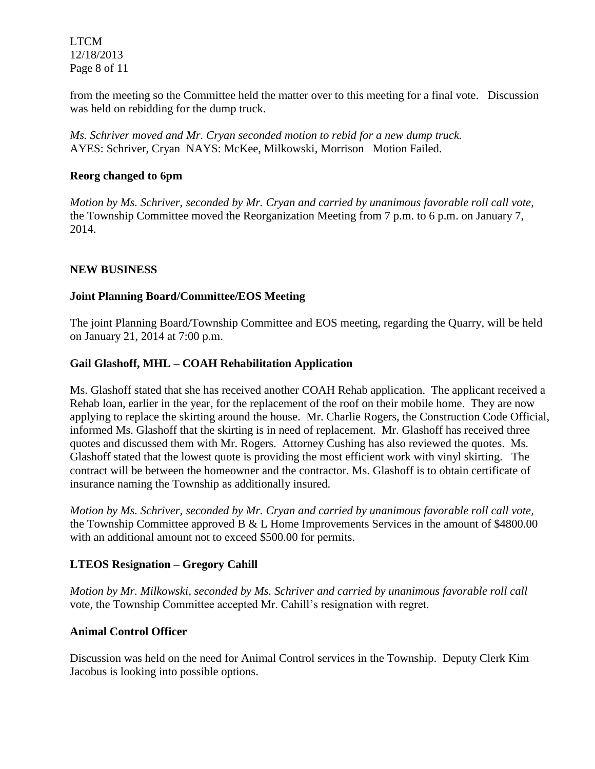LTCM 12/18/2013 Page 8 of 11

from the meeting so the Committee held the matter over to this meeting for a final vote. Discussion was held on rebidding for the dump truck.

*Ms. Schriver moved and Mr. Cryan seconded motion to rebid for a new dump truck.*  AYES: Schriver, Cryan NAYS: McKee, Milkowski, Morrison Motion Failed.

# **Reorg changed to 6pm**

*Motion by Ms. Schriver, seconded by Mr. Cryan and carried by unanimous favorable roll call vote,* the Township Committee moved the Reorganization Meeting from 7 p.m. to 6 p.m. on January 7, 2014.

# **NEW BUSINESS**

# **Joint Planning Board/Committee/EOS Meeting**

The joint Planning Board/Township Committee and EOS meeting, regarding the Quarry, will be held on January 21, 2014 at 7:00 p.m.

# **Gail Glashoff, MHL – COAH Rehabilitation Application**

Ms. Glashoff stated that she has received another COAH Rehab application. The applicant received a Rehab loan, earlier in the year, for the replacement of the roof on their mobile home. They are now applying to replace the skirting around the house. Mr. Charlie Rogers, the Construction Code Official, informed Ms. Glashoff that the skirting is in need of replacement. Mr. Glashoff has received three quotes and discussed them with Mr. Rogers. Attorney Cushing has also reviewed the quotes. Ms. Glashoff stated that the lowest quote is providing the most efficient work with vinyl skirting. The contract will be between the homeowner and the contractor. Ms. Glashoff is to obtain certificate of insurance naming the Township as additionally insured.

*Motion by Ms. Schriver, seconded by Mr. Cryan and carried by unanimous favorable roll call vote,* the Township Committee approved B & L Home Improvements Services in the amount of \$4800.00 with an additional amount not to exceed \$500.00 for permits.

# **LTEOS Resignation – Gregory Cahill**

*Motion by Mr. Milkowski, seconded by Ms. Schriver and carried by unanimous favorable roll call*  vote, the Township Committee accepted Mr. Cahill's resignation with regret.

## **Animal Control Officer**

Discussion was held on the need for Animal Control services in the Township. Deputy Clerk Kim Jacobus is looking into possible options.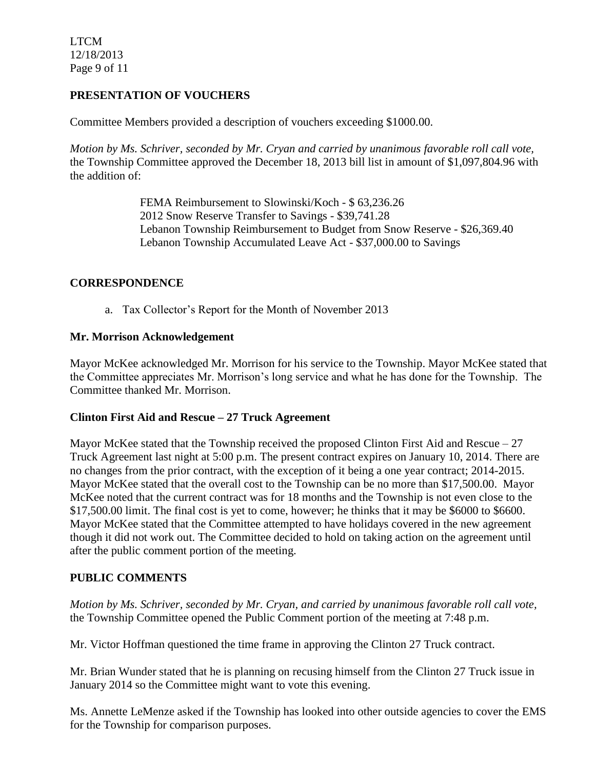LTCM 12/18/2013 Page 9 of 11

# **PRESENTATION OF VOUCHERS**

Committee Members provided a description of vouchers exceeding \$1000.00.

*Motion by Ms. Schriver, seconded by Mr. Cryan and carried by unanimous favorable roll call vote,* the Township Committee approved the December 18, 2013 bill list in amount of \$1,097,804.96 with the addition of:

> FEMA Reimbursement to Slowinski/Koch - \$ 63,236.26 2012 Snow Reserve Transfer to Savings - \$39,741.28 Lebanon Township Reimbursement to Budget from Snow Reserve - \$26,369.40 Lebanon Township Accumulated Leave Act - \$37,000.00 to Savings

# **CORRESPONDENCE**

a. Tax Collector's Report for the Month of November 2013

## **Mr. Morrison Acknowledgement**

Mayor McKee acknowledged Mr. Morrison for his service to the Township. Mayor McKee stated that the Committee appreciates Mr. Morrison's long service and what he has done for the Township. The Committee thanked Mr. Morrison.

## **Clinton First Aid and Rescue – 27 Truck Agreement**

Mayor McKee stated that the Township received the proposed Clinton First Aid and Rescue – 27 Truck Agreement last night at 5:00 p.m. The present contract expires on January 10, 2014. There are no changes from the prior contract, with the exception of it being a one year contract; 2014-2015. Mayor McKee stated that the overall cost to the Township can be no more than \$17,500.00. Mayor McKee noted that the current contract was for 18 months and the Township is not even close to the \$17,500.00 limit. The final cost is yet to come, however; he thinks that it may be \$6000 to \$6600. Mayor McKee stated that the Committee attempted to have holidays covered in the new agreement though it did not work out. The Committee decided to hold on taking action on the agreement until after the public comment portion of the meeting.

# **PUBLIC COMMENTS**

*Motion by Ms. Schriver, seconded by Mr. Cryan, and carried by unanimous favorable roll call vote,* the Township Committee opened the Public Comment portion of the meeting at 7:48 p.m.

Mr. Victor Hoffman questioned the time frame in approving the Clinton 27 Truck contract.

Mr. Brian Wunder stated that he is planning on recusing himself from the Clinton 27 Truck issue in January 2014 so the Committee might want to vote this evening.

Ms. Annette LeMenze asked if the Township has looked into other outside agencies to cover the EMS for the Township for comparison purposes.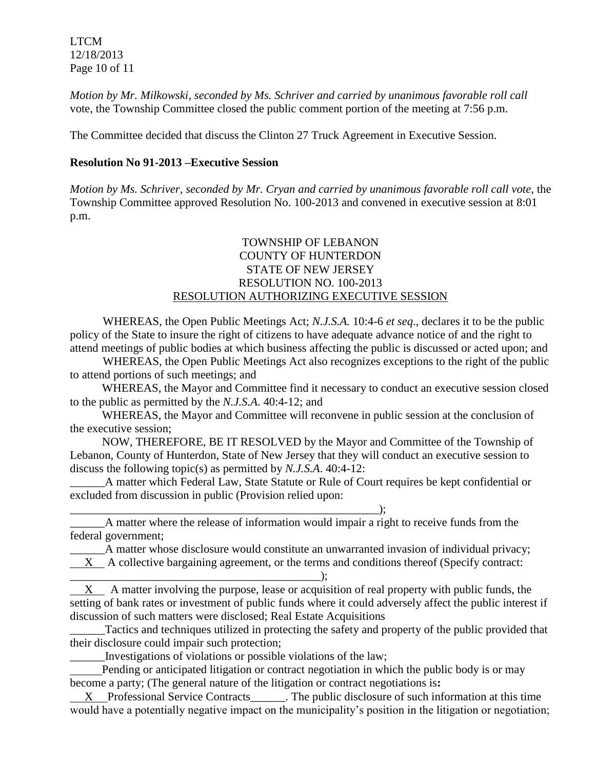LTCM 12/18/2013 Page 10 of 11

*Motion by Mr. Milkowski, seconded by Ms. Schriver and carried by unanimous favorable roll call*  vote, the Township Committee closed the public comment portion of the meeting at 7:56 p.m.

The Committee decided that discuss the Clinton 27 Truck Agreement in Executive Session.

# **Resolution No 91-2013 –Executive Session**

*Motion by Ms. Schriver, seconded by Mr. Cryan and carried by unanimous favorable roll call vote,* the Township Committee approved Resolution No. 100-2013 and convened in executive session at 8:01 p.m.

# TOWNSHIP OF LEBANON COUNTY OF HUNTERDON STATE OF NEW JERSEY RESOLUTION NO. 100-2013 RESOLUTION AUTHORIZING EXECUTIVE SESSION

WHEREAS, the Open Public Meetings Act; *N.J.S.A.* 10:4-6 *et seq*., declares it to be the public policy of the State to insure the right of citizens to have adequate advance notice of and the right to attend meetings of public bodies at which business affecting the public is discussed or acted upon; and

WHEREAS, the Open Public Meetings Act also recognizes exceptions to the right of the public to attend portions of such meetings; and

 WHEREAS, the Mayor and Committee find it necessary to conduct an executive session closed to the public as permitted by the *N.J.S.A*. 40:4-12; and

 WHEREAS, the Mayor and Committee will reconvene in public session at the conclusion of the executive session;

 NOW, THEREFORE, BE IT RESOLVED by the Mayor and Committee of the Township of Lebanon, County of Hunterdon, State of New Jersey that they will conduct an executive session to discuss the following topic(s) as permitted by *N.J.S.A*. 40:4-12:

\_\_\_\_\_\_A matter which Federal Law, State Statute or Rule of Court requires be kept confidential or excluded from discussion in public (Provision relied upon:

\_\_\_\_\_\_\_\_\_\_\_\_\_\_\_\_\_\_\_\_\_\_\_\_\_\_\_\_\_\_\_\_\_\_\_\_\_\_\_\_\_\_\_\_\_\_\_\_\_\_\_\_\_); \_\_\_\_\_\_A matter where the release of information would impair a right to receive funds from the federal government;

\_\_\_\_\_\_A matter whose disclosure would constitute an unwarranted invasion of individual privacy; X A collective bargaining agreement, or the terms and conditions thereof (Specify contract: \_\_\_\_\_\_\_\_\_\_\_\_\_\_\_\_\_\_\_\_\_\_\_\_\_\_\_\_\_\_\_\_\_\_\_\_\_\_\_\_\_\_\_);

X A matter involving the purpose, lease or acquisition of real property with public funds, the setting of bank rates or investment of public funds where it could adversely affect the public interest if discussion of such matters were disclosed; Real Estate Acquisitions

\_\_\_\_\_\_Tactics and techniques utilized in protecting the safety and property of the public provided that their disclosure could impair such protection;

\_\_\_\_\_\_Investigations of violations or possible violations of the law;

 Pending or anticipated litigation or contract negotiation in which the public body is or may become a party; (The general nature of the litigation or contract negotiations is**:**

X Professional Service Contracts The public disclosure of such information at this time would have a potentially negative impact on the municipality's position in the litigation or negotiation;